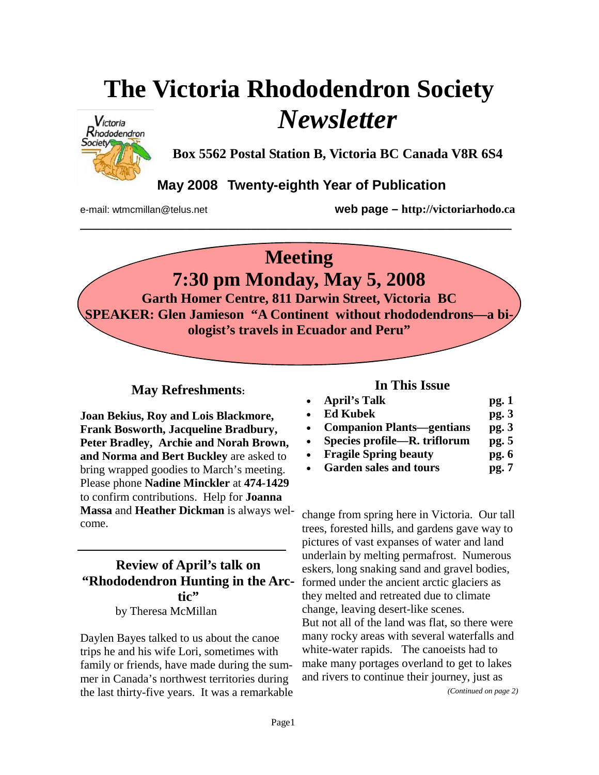# **The Victoria Rhododendron Society**  *Newsletter*



**Box 5562 Postal Station B, Victoria BC Canada V8R 6S4** 

## **May 2008 Twenty-eighth Year of Publication**

**\_\_\_\_\_\_\_\_\_\_\_\_\_\_\_\_\_\_\_\_\_\_\_\_\_\_\_\_\_\_\_\_\_\_\_\_\_\_\_\_\_\_\_\_\_\_\_\_\_\_\_\_\_\_\_\_\_\_\_\_\_\_\_** 

e-mail: wtmcmillan@telus.net **web page – http://victoriarhodo.ca**

# **Meeting 7:30 pm Monday, May 5, 2008 Garth Homer Centre, 811 Darwin Street, Victoria BC SPEAKER: Glen Jamieson "A Continent without rhododendrons—a biologist's travels in Ecuador and Peru"**

#### **May Refreshments:**

**Joan Bekius, Roy and Lois Blackmore, Frank Bosworth, Jacqueline Bradbury, Peter Bradley, Archie and Norah Brown, and Norma and Bert Buckley** are asked to bring wrapped goodies to March's meeting. Please phone **Nadine Minckler** at **474-1429** to confirm contributions. Help for **Joanna Massa** and **Heather Dickman** is always welcome.

#### **Review of April's talk on "Rhododendron Hunting in the Arctic"**  by Theresa McMillan

Daylen Bayes talked to us about the canoe trips he and his wife Lori, sometimes with family or friends, have made during the summer in Canada's northwest territories during the last thirty-five years. It was a remarkable

#### **In This Issue**

| $\bullet$ | <b>April's Talk</b>              | pg.1  |
|-----------|----------------------------------|-------|
| $\bullet$ | <b>Ed Kubek</b>                  | pg.3  |
|           | <b>Companion Plants—gentians</b> | pg.3  |
|           | Species profile—R. triflorum     | pg. 5 |
|           | <b>Fragile Spring beauty</b>     | pg.6  |

• **Garden sales and tours pg. 7**

change from spring here in Victoria. Our tall trees, forested hills, and gardens gave way to pictures of vast expanses of water and land underlain by melting permafrost. Numerous eskers, long snaking sand and gravel bodies, formed under the ancient arctic glaciers as they melted and retreated due to climate change, leaving desert-like scenes. But not all of the land was flat, so there were many rocky areas with several waterfalls and white-water rapids. The canoeists had to make many portages overland to get to lakes and rivers to continue their journey, just as

*(Continued on page 2)*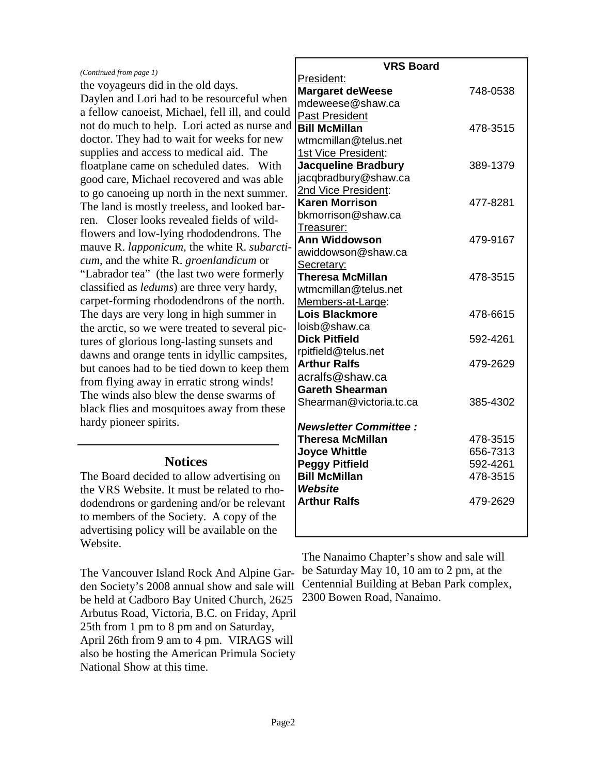#### *(Continued from page 1)*

the voyageurs did in the old days. Daylen and Lori had to be resourceful when a fellow canoeist, Michael, fell ill, and could not do much to help. Lori acted as nurse and doctor. They had to wait for weeks for new supplies and access to medical aid. The floatplane came on scheduled dates. With good care, Michael recovered and was able to go canoeing up north in the next summer. The land is mostly treeless, and looked barren. Closer looks revealed fields of wildflowers and low-lying rhododendrons. The mauve R. *lapponicum*, the white R. *subarcticum*, and the white R. *groenlandicum* or "Labrador tea" (the last two were formerly classified as *ledums*) are three very hardy, carpet-forming rhododendrons of the north. The days are very long in high summer in the arctic, so we were treated to several pictures of glorious long-lasting sunsets and dawns and orange tents in idyllic campsites, but canoes had to be tied down to keep them from flying away in erratic strong winds! The winds also blew the dense swarms of black flies and mosquitoes away from these hardy pioneer spirits.

#### **Notices**

The Board decided to allow advertising on the VRS Website. It must be related to rhododendrons or gardening and/or be relevant to members of the Society. A copy of the advertising policy will be available on the Website.

The Vancouver Island Rock And Alpine Garden Society's 2008 annual show and sale will be held at Cadboro Bay United Church, 2625 Arbutus Road, Victoria, B.C. on Friday, April 25th from 1 pm to 8 pm and on Saturday, April 26th from 9 am to 4 pm. VIRAGS will also be hosting the American Primula Society National Show at this time.

| <b>VRS Board</b>             |          |  |  |
|------------------------------|----------|--|--|
| President:                   |          |  |  |
| <b>Margaret deWeese</b>      | 748-0538 |  |  |
| mdeweese@shaw.ca             |          |  |  |
| <b>Past President</b>        |          |  |  |
| <b>Bill McMillan</b>         | 478-3515 |  |  |
| wtmcmillan@telus.net         |          |  |  |
| 1st Vice President:          |          |  |  |
| <b>Jacqueline Bradbury</b>   | 389-1379 |  |  |
| jacqbradbury@shaw.ca         |          |  |  |
| 2nd Vice President:          |          |  |  |
| <b>Karen Morrison</b>        | 477-8281 |  |  |
| bkmorrison@shaw.ca           |          |  |  |
| Treasurer:                   |          |  |  |
| <b>Ann Widdowson</b>         | 479-9167 |  |  |
| awiddowson@shaw.ca           |          |  |  |
| Secretary:                   |          |  |  |
| <b>Theresa McMillan</b>      | 478-3515 |  |  |
| wtmcmillan@telus.net         |          |  |  |
| Members-at-Large:            |          |  |  |
| <b>Lois Blackmore</b>        | 478-6615 |  |  |
| loisb@shaw.ca                |          |  |  |
| <b>Dick Pitfield</b>         | 592-4261 |  |  |
| rpitfield@telus.net          |          |  |  |
| <b>Arthur Ralfs</b>          | 479-2629 |  |  |
| acralfs@shaw.ca              |          |  |  |
| <b>Gareth Shearman</b>       |          |  |  |
| Shearman@victoria.tc.ca      | 385-4302 |  |  |
| <b>Newsletter Committee:</b> |          |  |  |
| <b>Theresa McMillan</b>      | 478-3515 |  |  |
| <b>Joyce Whittle</b>         | 656-7313 |  |  |
| <b>Peggy Pitfield</b>        | 592-4261 |  |  |
| <b>Bill McMillan</b>         | 478-3515 |  |  |
| <b>Website</b>               |          |  |  |
| <b>Arthur Ralfs</b>          | 479-2629 |  |  |
|                              |          |  |  |
|                              |          |  |  |

The Nanaimo Chapter's show and sale will be Saturday May 10, 10 am to 2 pm, at the Centennial Building at Beban Park complex, 2300 Bowen Road, Nanaimo.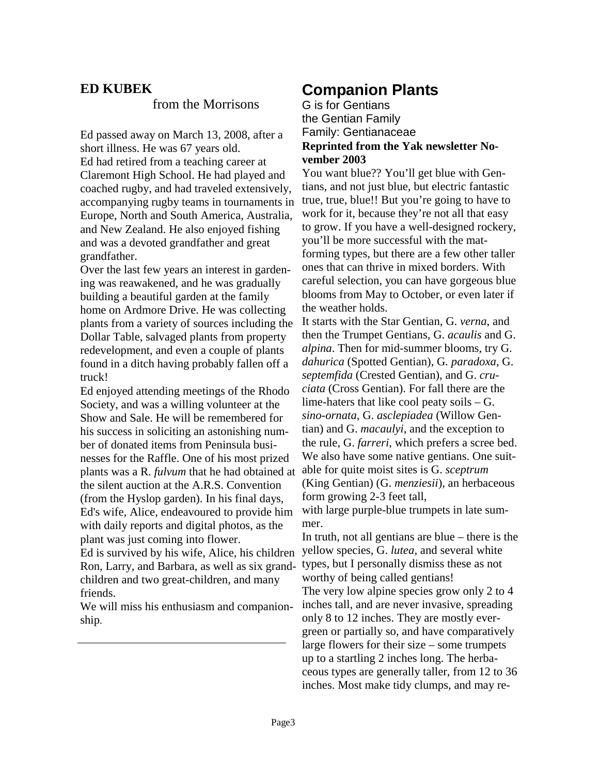### **ED KUBEK**

#### from the Morrisons

Ed passed away on March 13, 2008, after a short illness. He was 67 years old. Ed had retired from a teaching career at Claremont High School. He had played and coached rugby, and had traveled extensively, accompanying rugby teams in tournaments in Europe, North and South America, Australia, and New Zealand. He also enjoyed fishing and was a devoted grandfather and great grandfather.

Over the last few years an interest in gardening was reawakened, and he was gradually building a beautiful garden at the family home on Ardmore Drive. He was collecting plants from a variety of sources including the Dollar Table, salvaged plants from property redevelopment, and even a couple of plants found in a ditch having probably fallen off a truck!

Ed enjoyed attending meetings of the Rhodo Society, and was a willing volunteer at the Show and Sale. He will be remembered for his success in soliciting an astonishing number of donated items from Peninsula businesses for the Raffle. One of his most prized plants was a R. *fulvum* that he had obtained at the silent auction at the A.R.S. Convention (from the Hyslop garden). In his final days, Ed's wife, Alice, endeavoured to provide him with daily reports and digital photos, as the plant was just coming into flower. Ed is survived by his wife, Alice, his children Ron, Larry, and Barbara, as well as six grand-

children and two great-children, and many friends.

We will miss his enthusiasm and companionship.

# **Companion Plants**

G is for Gentians the Gentian Family Family: Gentianaceae **Reprinted from the Yak newsletter November 2003** 

You want blue?? You'll get blue with Gentians, and not just blue, but electric fantastic true, true, blue!! But you're going to have to work for it, because they're not all that easy to grow. If you have a well-designed rockery, you'll be more successful with the matforming types, but there are a few other taller ones that can thrive in mixed borders. With careful selection, you can have gorgeous blue blooms from May to October, or even later if the weather holds.

It starts with the Star Gentian, G. *verna*, and then the Trumpet Gentians, G. *acaulis* and G. *alpina*. Then for mid-summer blooms, try G. *dahurica* (Spotted Gentian), G*. paradoxa*, G. *septemfida* (Crested Gentian), and G. *cruciata* (Cross Gentian). For fall there are the lime-haters that like cool peaty soils – G. *sino-ornata*, G. *asclepiadea* (Willow Gentian) and G. *macaulyi*, and the exception to the rule, G. *farreri*, which prefers a scree bed. We also have some native gentians. One suitable for quite moist sites is G. *sceptrum* (King Gentian) (G. *menziesii*), an herbaceous form growing 2-3 feet tall,

with large purple-blue trumpets in late summer.

In truth, not all gentians are blue – there is the yellow species, G. *lutea*, and several white types, but I personally dismiss these as not worthy of being called gentians!

The very low alpine species grow only 2 to 4 inches tall, and are never invasive, spreading only 8 to 12 inches. They are mostly evergreen or partially so, and have comparatively large flowers for their size – some trumpets up to a startling 2 inches long. The herbaceous types are generally taller, from 12 to 36 inches. Most make tidy clumps, and may re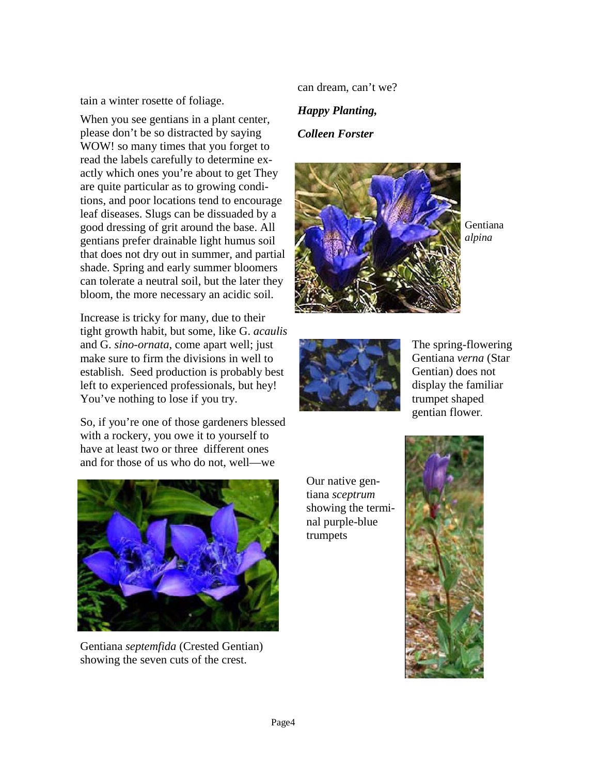tain a winter rosette of foliage.

When you see gentians in a plant center, please don't be so distracted by saying WOW! so many times that you forget to read the labels carefully to determine exactly which ones you're about to get They are quite particular as to growing conditions, and poor locations tend to encourage leaf diseases. Slugs can be dissuaded by a good dressing of grit around the base. All gentians prefer drainable light humus soil that does not dry out in summer, and partial shade. Spring and early summer bloomers can tolerate a neutral soil, but the later they bloom, the more necessary an acidic soil.

Increase is tricky for many, due to their tight growth habit, but some, like G. *acaulis* and G. *sino-ornata*, come apart well; just make sure to firm the divisions in well to establish. Seed production is probably best left to experienced professionals, but hey! You've nothing to lose if you try.

So, if you're one of those gardeners blessed with a rockery, you owe it to yourself to have at least two or three different ones and for those of us who do not, well—we

can dream, can't we?

*Happy Planting,* 

#### *Colleen Forster*



Gentiana *alpina* 



The spring-flowering Gentiana *verna* (Star Gentian) does not display the familiar trumpet shaped gentian flower.



Gentiana *septemfida* (Crested Gentian) showing the seven cuts of the crest.

Our native gentiana *sceptrum* showing the terminal purple-blue trumpets

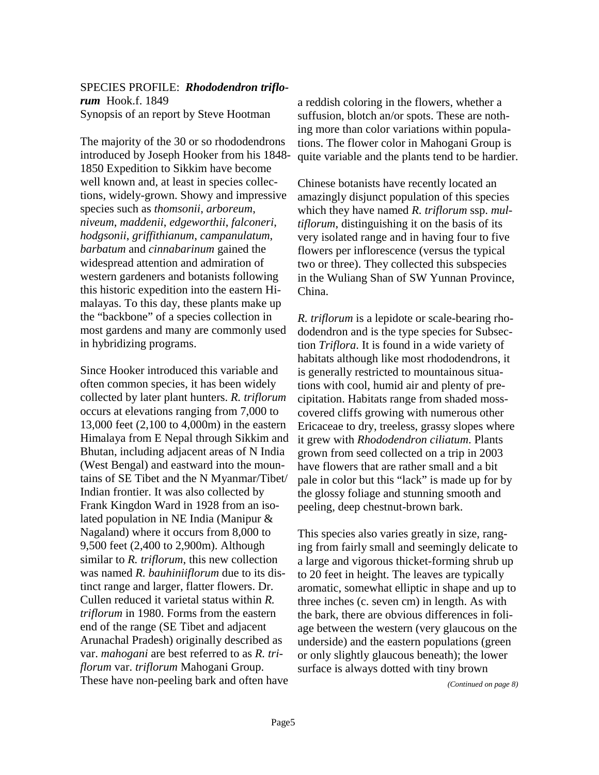#### SPECIES PROFILE: *Rhododendron triflorum* Hook.f. 1849 Synopsis of an report by Steve Hootman

The majority of the 30 or so rhododendrons introduced by Joseph Hooker from his 1848- 1850 Expedition to Sikkim have become well known and, at least in species collections, widely-grown. Showy and impressive species such as *thomsonii*, *arboreum*, *niveum*, *maddenii*, *edgeworthii*, *falconeri*, *hodgsonii*, *griffithianum*, *campanulatum*, *barbatum* and *cinnabarinum* gained the widespread attention and admiration of western gardeners and botanists following this historic expedition into the eastern Himalayas. To this day, these plants make up the "backbone" of a species collection in most gardens and many are commonly used in hybridizing programs.

Since Hooker introduced this variable and often common species, it has been widely collected by later plant hunters. *R. triflorum* occurs at elevations ranging from 7,000 to 13,000 feet (2,100 to 4,000m) in the eastern Himalaya from E Nepal through Sikkim and Bhutan, including adjacent areas of N India (West Bengal) and eastward into the mountains of SE Tibet and the N Myanmar/Tibet/ Indian frontier. It was also collected by Frank Kingdon Ward in 1928 from an isolated population in NE India (Manipur & Nagaland) where it occurs from 8,000 to 9,500 feet (2,400 to 2,900m). Although similar to *R. triflorum*, this new collection was named *R. bauhiniiflorum* due to its distinct range and larger, flatter flowers. Dr. Cullen reduced it varietal status within *R. triflorum* in 1980. Forms from the eastern end of the range (SE Tibet and adjacent Arunachal Pradesh) originally described as var. *mahogani* are best referred to as *R. triflorum* var. *triflorum* Mahogani Group. These have non-peeling bark and often have a reddish coloring in the flowers, whether a suffusion, blotch an/or spots. These are nothing more than color variations within populations. The flower color in Mahogani Group is quite variable and the plants tend to be hardier.

Chinese botanists have recently located an amazingly disjunct population of this species which they have named *R. triflorum* ssp. *multiflorum*, distinguishing it on the basis of its very isolated range and in having four to five flowers per inflorescence (versus the typical two or three). They collected this subspecies in the Wuliang Shan of SW Yunnan Province, China.

*R. triflorum* is a lepidote or scale-bearing rhododendron and is the type species for Subsection *Triflora*. It is found in a wide variety of habitats although like most rhododendrons, it is generally restricted to mountainous situations with cool, humid air and plenty of precipitation. Habitats range from shaded mosscovered cliffs growing with numerous other Ericaceae to dry, treeless, grassy slopes where it grew with *Rhododendron ciliatum*. Plants grown from seed collected on a trip in 2003 have flowers that are rather small and a bit pale in color but this "lack" is made up for by the glossy foliage and stunning smooth and peeling, deep chestnut-brown bark.

This species also varies greatly in size, ranging from fairly small and seemingly delicate to a large and vigorous thicket-forming shrub up to 20 feet in height. The leaves are typically aromatic, somewhat elliptic in shape and up to three inches (c. seven cm) in length. As with the bark, there are obvious differences in foliage between the western (very glaucous on the underside) and the eastern populations (green or only slightly glaucous beneath); the lower surface is always dotted with tiny brown

*(Continued on page 8)*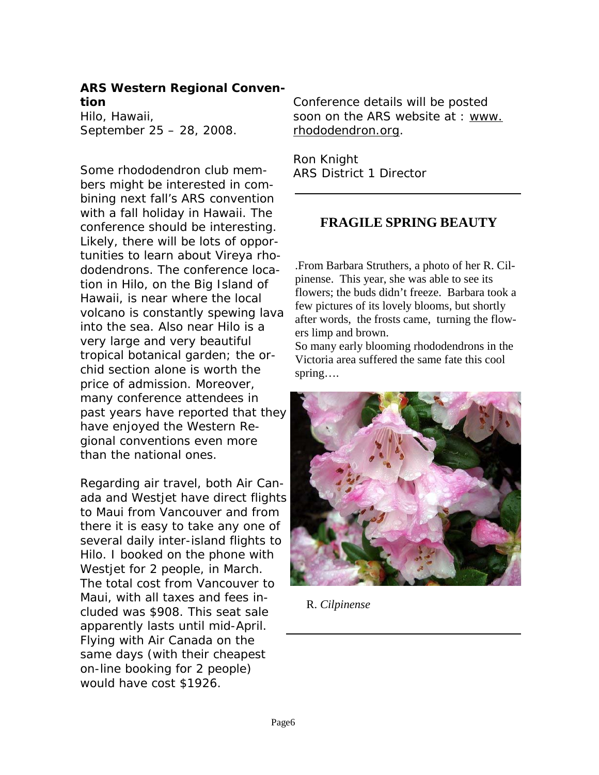#### **ARS Western Regional Convention**

Hilo, Hawaii, September 25 – 28, 2008.

Some rhododendron club members might be interested in combining next fall's ARS convention with a fall holiday in Hawaii. The conference should be interesting. Likely, there will be lots of opportunities to learn about Vireya rhododendrons. The conference location in Hilo, on the Big Island of Hawaii, is near where the local volcano is constantly spewing lava into the sea. Also near Hilo is a very large and very beautiful tropical botanical garden; the orchid section alone is worth the price of admission. Moreover, many conference attendees in past years have reported that they have enjoyed the Western Regional conventions even more than the national ones.

Regarding air travel, both Air Canada and Westjet have direct flights to Maui from Vancouver and from there it is easy to take any one of several daily inter-island flights to Hilo. I booked on the phone with Westjet for 2 people, in March. The total cost from Vancouver to Maui, with all taxes and fees included was \$908. This seat sale apparently lasts until mid-April. Flying with Air Canada on the same days (with their cheapest on-line booking for 2 people) would have cost \$1926.

Conference details will be posted soon on the ARS website at : www. rhododendron.org.

Ron Knight ARS District 1 Director

### **FRAGILE SPRING BEAUTY**

.From Barbara Struthers, a photo of her R. Cilpinense. This year, she was able to see its flowers; the buds didn't freeze. Barbara took a few pictures of its lovely blooms, but shortly after words, the frosts came, turning the flowers limp and brown.

So many early blooming rhododendrons in the Victoria area suffered the same fate this cool spring….



R. *Cilpinense*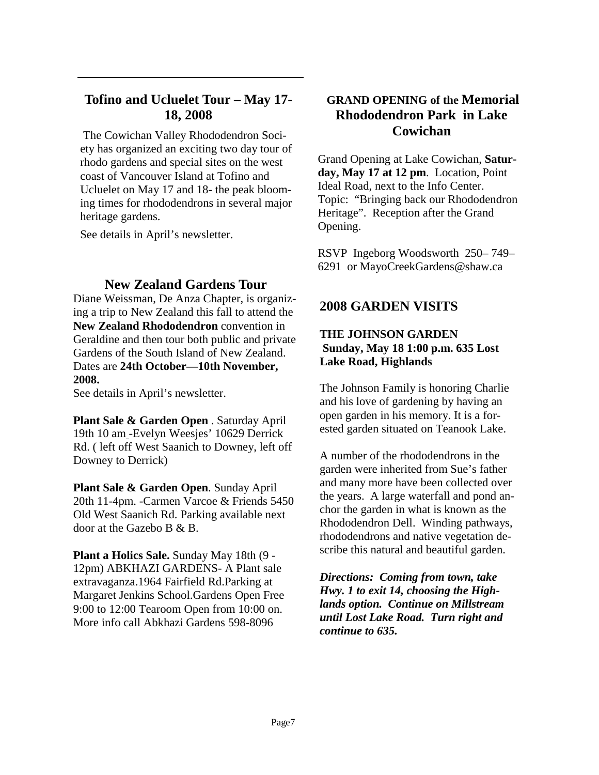#### **Tofino and Ucluelet Tour – May 17- 18, 2008**

The Cowichan Valley Rhododendron Society has organized an exciting two day tour of rhodo gardens and special sites on the west coast of Vancouver Island at Tofino and Ucluelet on May 17 and 18- the peak blooming times for rhododendrons in several major heritage gardens.

See details in April's newsletter.

#### **New Zealand Gardens Tour**

Diane Weissman, De Anza Chapter, is organizing a trip to New Zealand this fall to attend the **New Zealand Rhododendron** convention in Geraldine and then tour both public and private Gardens of the South Island of New Zealand. Dates are **24th October—10th November, 2008.**

See details in April's newsletter.

**Plant Sale & Garden Open** . Saturday April 19th 10 am -Evelyn Weesjes' 10629 Derrick Rd. ( left off West Saanich to Downey, left off Downey to Derrick)

**Plant Sale & Garden Open**. Sunday April 20th 11-4pm. -Carmen Varcoe & Friends 5450 Old West Saanich Rd. Parking available next door at the Gazebo B & B.

**Plant a Holics Sale.** Sunday May 18th (9 - 12pm) ABKHAZI GARDENS- A Plant sale extravaganza.1964 Fairfield Rd.Parking at Margaret Jenkins School.Gardens Open Free 9:00 to 12:00 Tearoom Open from 10:00 on. More info call Abkhazi Gardens 598-8096

#### **GRAND OPENING of the Memorial Rhododendron Park in Lake Cowichan**

Grand Opening at Lake Cowichan, **Saturday, May 17 at 12 pm**. Location, Point Ideal Road, next to the Info Center. Topic: "Bringing back our Rhododendron Heritage". Reception after the Grand Opening.

RSVP Ingeborg Woodsworth 250– 749– 6291 or MayoCreekGardens@shaw.ca

#### **2008 GARDEN VISITS**

#### **THE JOHNSON GARDEN Sunday, May 18 1:00 p.m. 635 Lost Lake Road, Highlands**

The Johnson Family is honoring Charlie and his love of gardening by having an open garden in his memory. It is a forested garden situated on Teanook Lake.

A number of the rhododendrons in the garden were inherited from Sue's father and many more have been collected over the years. A large waterfall and pond anchor the garden in what is known as the Rhododendron Dell. Winding pathways, rhododendrons and native vegetation describe this natural and beautiful garden.

*Directions: Coming from town, take Hwy. 1 to exit 14, choosing the Highlands option. Continue on Millstream until Lost Lake Road. Turn right and continue to 635.*